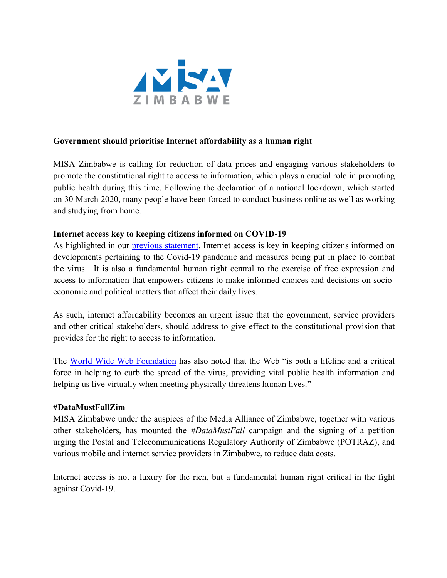

## **Government should prioritise Internet affordability as a human right**

MISA Zimbabwe is calling for reduction of data prices and engaging various stakeholders to promote the constitutional right to access to information, which plays a crucial role in promoting public health during this time. Following the declaration of a national lockdown, which started on 30 March 2020, many people have been forced to conduct business online as well as working and studying from home.

# **Internet access key to keeping citizens informed on COVID-19**

As highlighted in our previous statement, Internet access is key in keeping citizens informed on developments pertaining to the Covid-19 pandemic and measures being put in place to combat the virus. It is also a fundamental human right central to the exercise of free expression and access to information that empowers citizens to make informed choices and decisions on socioeconomic and political matters that affect their daily lives.

As such, internet affordability becomes an urgent issue that the government, service providers and other critical stakeholders, should address to give effect to the constitutional provision that provides for the right to access to information.

The World Wide Web Foundation has also noted that the Web "is both a lifeline and a critical force in helping to curb the spread of the virus, providing vital public health information and helping us live virtually when meeting physically threatens human lives."

# **#DataMustFallZim**

MISA Zimbabwe under the auspices of the Media Alliance of Zimbabwe, together with various other stakeholders, has mounted the *#DataMustFall* campaign and the signing of a petition urging the Postal and Telecommunications Regulatory Authority of Zimbabwe (POTRAZ), and various mobile and internet service providers in Zimbabwe, to reduce data costs.

Internet access is not a luxury for the rich, but a fundamental human right critical in the fight against Covid-19.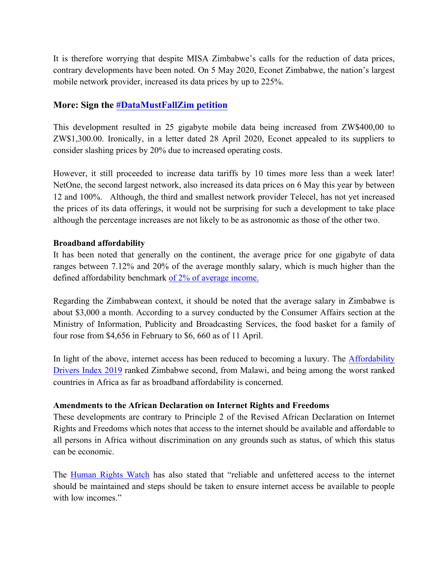It is therefore worrying that despite MISA Zimbabwe's calls for the reduction of data prices, contrary developments have been noted. On 5 May 2020, Econet Zimbabwe, the nation's largest mobile network provider, increased its data prices by up to 225%.

# **More: Sign the #DataMustFallZim petition**

This development resulted in 25 gigabyte mobile data being increased from ZW\$400,00 to ZW\$1,300.00. Ironically, in a letter dated 28 April 2020, Econet appealed to its suppliers to consider slashing prices by 20% due to increased operating costs.

However, it still proceeded to increase data tariffs by 10 times more less than a week later! NetOne, the second largest network, also increased its data prices on 6 May this year by between 12 and 100%. Although, the third and smallest network provider Telecel, has not yet increased the prices of its data offerings, it would not be surprising for such a development to take place although the percentage increases are not likely to be as astronomic as those of the other two.

# **Broadband affordability**

It has been noted that generally on the continent, the average price for one gigabyte of data ranges between 7.12% and 20% of the average monthly salary, which is much higher than the defined affordability benchmark of 2% of average income.

Regarding the Zimbabwean context, it should be noted that the average salary in Zimbabwe is about \$3,000 a month. According to a survey conducted by the Consumer Affairs section at the Ministry of Information, Publicity and Broadcasting Services, the food basket for a family of four rose from \$4,656 in February to \$6, 660 as of 11 April.

In light of the above, internet access has been reduced to becoming a luxury. The Affordability Drivers Index 2019 ranked Zimbabwe second, from Malawi, and being among the worst ranked countries in Africa as far as broadband affordability is concerned.

# **Amendments to the African Declaration on Internet Rights and Freedoms**

These developments are contrary to Principle 2 of the Revised African Declaration on Internet Rights and Freedoms which notes that access to the internet should be available and affordable to all persons in Africa without discrimination on any grounds such as status, of which this status can be economic.

The Human Rights Watch has also stated that "reliable and unfettered access to the internet should be maintained and steps should be taken to ensure internet access be available to people with low incomes."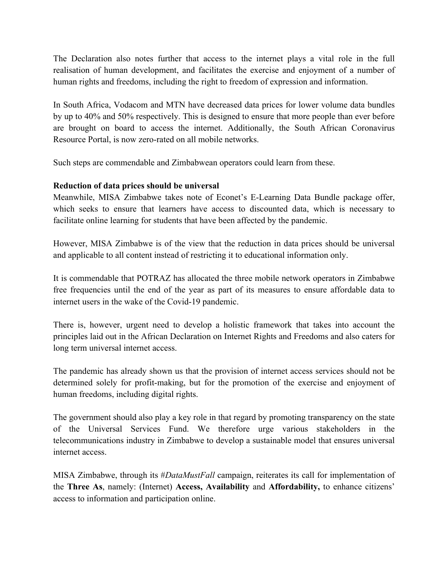The Declaration also notes further that access to the internet plays a vital role in the full realisation of human development, and facilitates the exercise and enjoyment of a number of human rights and freedoms, including the right to freedom of expression and information.

In South Africa, Vodacom and MTN have decreased data prices for lower volume data bundles by up to 40% and 50% respectively. This is designed to ensure that more people than ever before are brought on board to access the internet. Additionally, the South African Coronavirus Resource Portal, is now zero-rated on all mobile networks.

Such steps are commendable and Zimbabwean operators could learn from these.

## **Reduction of data prices should be universal**

Meanwhile, MISA Zimbabwe takes note of Econet's E-Learning Data Bundle package offer, which seeks to ensure that learners have access to discounted data, which is necessary to facilitate online learning for students that have been affected by the pandemic.

However, MISA Zimbabwe is of the view that the reduction in data prices should be universal and applicable to all content instead of restricting it to educational information only.

It is commendable that POTRAZ has allocated the three mobile network operators in Zimbabwe free frequencies until the end of the year as part of its measures to ensure affordable data to internet users in the wake of the Covid-19 pandemic.

There is, however, urgent need to develop a holistic framework that takes into account the principles laid out in the African Declaration on Internet Rights and Freedoms and also caters for long term universal internet access.

The pandemic has already shown us that the provision of internet access services should not be determined solely for profit-making, but for the promotion of the exercise and enjoyment of human freedoms, including digital rights.

The government should also play a key role in that regard by promoting transparency on the state of the Universal Services Fund. We therefore urge various stakeholders in the telecommunications industry in Zimbabwe to develop a sustainable model that ensures universal internet access.

MISA Zimbabwe, through its #*DataMustFall* campaign, reiterates its call for implementation of the **Three As**, namely: (Internet) **Access, Availability** and **Affordability,** to enhance citizens' access to information and participation online.